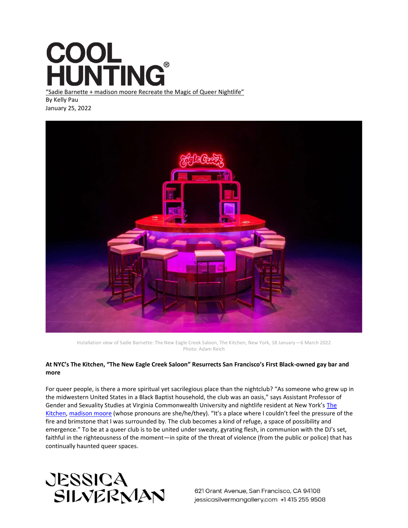## COOL<br>HUNTING®

"Sadie Barnette + madison moore Recreate the Magic of Queer Nightlife" By Kelly Pau January 25, 2022



Installation view of Sadie Barnette: The New Eagle Creek Saloon, The Kitchen, New York, 18 January—6 March 2022 Photo: Adam Reich

## **At NYC's The Kitchen, "The New Eagle Creek Saloon" Resurrects San Francisco's First Black-owned gay bar and more**

For queer people, is there a more spiritual yet sacrilegious place than the nightclub? "As someone who grew up in the midwestern United States in a Black Baptist household, the club was an oasis," says Assistant Professor of Gender and Sexuality Studies at Virginia Commonwealth University and nightlife resident at New York's [The](https://thekitchen.org/)  [Kitchen,](https://thekitchen.org/) [madison moore](https://www.madisonmooreonline.com/) (whose pronouns are she/he/they). "It's a place where I couldn't feel the pressure of the fire and brimstone that I was surrounded by. The club becomes a kind of refuge, a space of possibility and emergence." To be at a queer club is to be united under sweaty, gyrating flesh, in communion with the DJ's set, faithful in the righteousness of the moment—in spite of the threat of violence (from the public or police) that has continually haunted queer spaces.

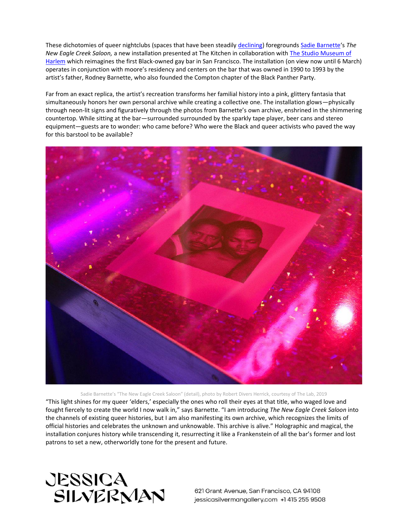These dichotomies of queer nightclubs (spaces that have been steadily [declining\)](https://www.nbcnews.com/feature/nbc-out/year-pandemic-america-s-remaining-lesbian-bars-are-barely-hanging-n1262936) foreground[s Sadie Barnette](https://www.nytimes.com/2021/12/31/t-magazine/sadie-barnette-fbi-drawings.html)'s *The New Eagle Creek Saloon,* a new installation presented at The Kitchen in collaboration with [The Studio Museum of](https://studiomuseum.org/)  [Harlem](https://studiomuseum.org/) which reimagines the first Black-owned gay bar in San Francisco. The installation (on view now until 6 March) operates in conjunction with moore's residency and centers on the bar that was owned in 1990 to 1993 by the artist's father, Rodney Barnette, who also founded the Compton chapter of the Black Panther Party.

Far from an exact replica, the artist's recreation transforms her familial history into a pink, glittery fantasia that simultaneously honors her own personal archive while creating a collective one. The installation glows—physically through neon-lit signs and figuratively through the photos from Barnette's own archive, enshrined in the shimmering countertop. While sitting at the bar—surrounded surrounded by the sparkly tape player, beer cans and stereo equipment—guests are to wonder: who came before? Who were the Black and queer activists who paved the way for this barstool to be available?



Sadie Barnette's "The New Eagle Creek Saloon" (detail), photo by Robert Divers Herrick, courtesy of The Lab, 2019 "This light shines for my queer 'elders,' especially the ones who roll their eyes at that title, who waged love and fought fiercely to create the world I now walk in," says Barnette. "I am introducing *The New Eagle Creek Saloon* into the channels of existing queer histories, but I am also manifesting its own archive, which recognizes the limits of official histories and celebrates the unknown and unknowable. This archive is alive." Holographic and magical, the installation conjures history while transcending it, resurrecting it like a Frankenstein of all the bar's former and lost patrons to set a new, otherworldly tone for the present and future.

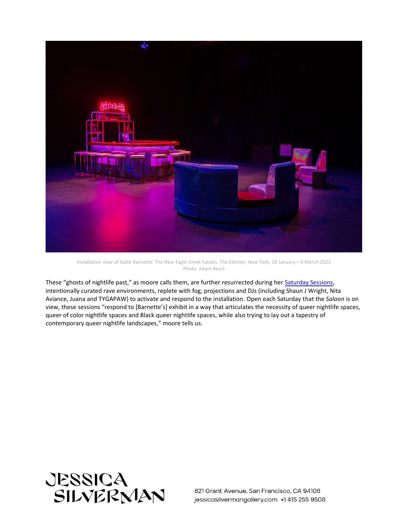

Installation view of Sadie Barnette: The New Eagle Creek Saloon, The Kitchen, New York, 18 January—6 March 2022 Photo: Adam Reich

These "ghosts of nightlife past," as moore calls them, are further resurrected during her [Saturday Sessions,](https://ci.ovationtix.com/35572/production/1097722) intentionally curated rave environments, replete with fog, projections and DJs (including Shaun J Wright, Nita Aviance, Juana and TYGAPAW) to activate and respond to the installation. Open each Saturday that the *Saloon* is on view, these sessions "respond to [Barnette's] exhibit in a way that articulates the necessity of queer nightlife spaces, queer of color nightlife spaces and Black queer nightlife spaces, while also trying to lay out a tapestry of contemporary queer nightlife landscapes," moore tells us.

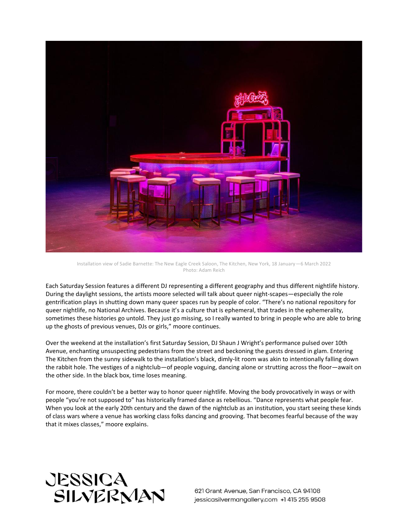

Installation view of Sadie Barnette: The New Eagle Creek Saloon, The Kitchen, New York, 18 January—6 March 2022 Photo: Adam Reich

Each Saturday Session features a different DJ representing a different geography and thus different nightlife history. During the daylight sessions, the artists moore selected will talk about queer night-scapes—especially the role gentrification plays in shutting down many queer spaces run by people of color. "There's no national repository for queer nightlife, no National Archives. Because it's a culture that is ephemeral, that trades in the ephemerality, sometimes these histories go untold. They just go missing, so I really wanted to bring in people who are able to bring up the ghosts of previous venues, DJs or girls," moore continues.

Over the weekend at the installation's first Saturday Session, DJ Shaun J Wright's performance pulsed over 10th Avenue, enchanting unsuspecting pedestrians from the street and beckoning the guests dressed in glam. Entering The Kitchen from the sunny sidewalk to the installation's black, dimly-lit room was akin to intentionally falling down the rabbit hole. The vestiges of a nightclub—of people voguing, dancing alone or strutting across the floor—await on the other side. In the black box, time loses meaning.

For moore, there couldn't be a better way to honor queer nightlife. Moving the body provocatively in ways or with people "you're not supposed to" has historically framed dance as rebellious. "Dance represents what people fear. When you look at the early 20th century and the dawn of the nightclub as an institution, you start seeing these kinds of class wars where a venue has working class folks dancing and grooving. That becomes fearful because of the way that it mixes classes," moore explains.

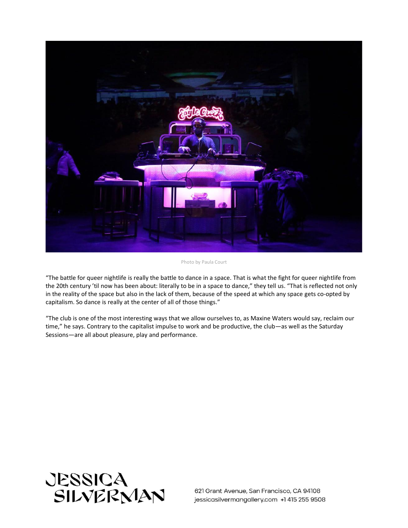

Photo by Paula Court

"The battle for queer nightlife is really the battle to dance in a space. That is what the fight for queer nightlife from the 20th century 'til now has been about: literally to be in a space to dance," they tell us. "That is reflected not only in the reality of the space but also in the lack of them, because of the speed at which any space gets co-opted by capitalism. So dance is really at the center of all of those things."

"The club is one of the most interesting ways that we allow ourselves to, as Maxine Waters would say, reclaim our time," he says. Contrary to the capitalist impulse to work and be productive, the club—as well as the Saturday Sessions—are all about pleasure, play and performance.

![](_page_4_Picture_4.jpeg)